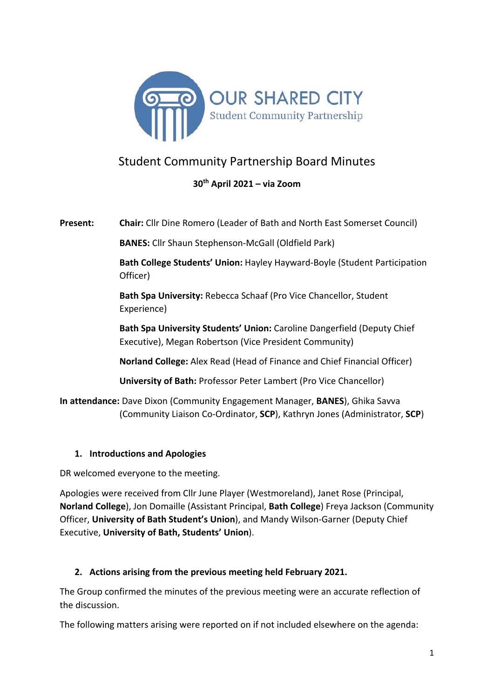

# Student Community Partnership Board Minutes

# **30th April 2021 – via Zoom**

**Present: Chair:** Cllr Dine Romero (Leader of Bath and North East Somerset Council)

**BANES:** Cllr Shaun Stephenson-McGall (Oldfield Park)

**Bath College Students' Union:** Hayley Hayward-Boyle (Student Participation Officer)

**Bath Spa University:** Rebecca Schaaf (Pro Vice Chancellor, Student Experience)

**Bath Spa University Students' Union:** Caroline Dangerfield (Deputy Chief Executive), Megan Robertson (Vice President Community)

**Norland College:** Alex Read (Head of Finance and Chief Financial Officer)

**University of Bath:** Professor Peter Lambert (Pro Vice Chancellor)

**In attendance:** Dave Dixon (Community Engagement Manager, **BANES**), Ghika Savva (Community Liaison Co-Ordinator, **SCP**), Kathryn Jones (Administrator, **SCP**)

# **1. Introductions and Apologies**

DR welcomed everyone to the meeting.

Apologies were received from Cllr June Player (Westmoreland), Janet Rose (Principal, **Norland College**), Jon Domaille (Assistant Principal, **Bath College**) Freya Jackson (Community Officer, **University of Bath Student's Union**), and Mandy Wilson-Garner (Deputy Chief Executive, **University of Bath, Students' Union**).

# **2. Actions arising from the previous meeting held February 2021.**

The Group confirmed the minutes of the previous meeting were an accurate reflection of the discussion.

The following matters arising were reported on if not included elsewhere on the agenda: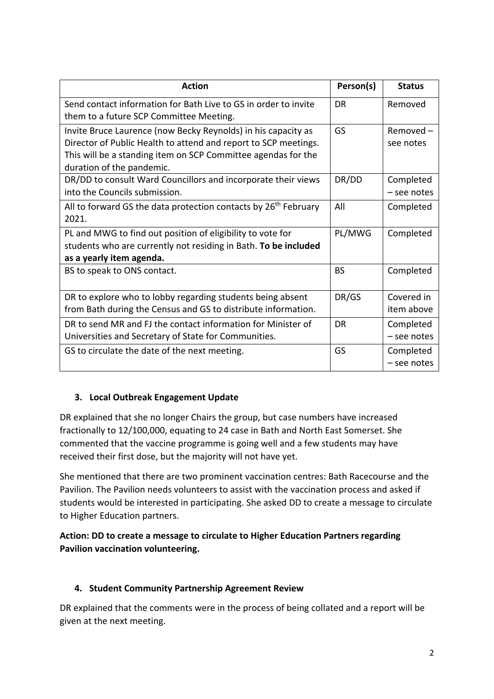| <b>Action</b>                                                                              | Person(s) | <b>Status</b> |
|--------------------------------------------------------------------------------------------|-----------|---------------|
| Send contact information for Bath Live to GS in order to invite                            | <b>DR</b> | Removed       |
| them to a future SCP Committee Meeting.                                                    |           |               |
| Invite Bruce Laurence (now Becky Reynolds) in his capacity as                              | GS        | $Removed -$   |
| Director of Public Health to attend and report to SCP meetings.                            |           | see notes     |
| This will be a standing item on SCP Committee agendas for the<br>duration of the pandemic. |           |               |
| DR/DD to consult Ward Councillors and incorporate their views                              | DR/DD     | Completed     |
| into the Councils submission.                                                              |           | - see notes   |
| All to forward GS the data protection contacts by 26 <sup>th</sup> February                | All       | Completed     |
| 2021.                                                                                      |           |               |
| PL and MWG to find out position of eligibility to vote for                                 | PL/MWG    | Completed     |
| students who are currently not residing in Bath. To be included                            |           |               |
| as a yearly item agenda.                                                                   |           |               |
| BS to speak to ONS contact.                                                                | <b>BS</b> | Completed     |
|                                                                                            |           |               |
| DR to explore who to lobby regarding students being absent                                 | DR/GS     | Covered in    |
| from Bath during the Census and GS to distribute information.                              |           | item above    |
| DR to send MR and FJ the contact information for Minister of                               | <b>DR</b> | Completed     |
| Universities and Secretary of State for Communities.                                       |           | $-$ see notes |
| GS to circulate the date of the next meeting.                                              | GS        | Completed     |
|                                                                                            |           | - see notes   |

# **3. Local Outbreak Engagement Update**

DR explained that she no longer Chairs the group, but case numbers have increased fractionally to 12/100,000, equating to 24 case in Bath and North East Somerset. She commented that the vaccine programme is going well and a few students may have received their first dose, but the majority will not have yet.

She mentioned that there are two prominent vaccination centres: Bath Racecourse and the Pavilion. The Pavilion needs volunteers to assist with the vaccination process and asked if students would be interested in participating. She asked DD to create a message to circulate to Higher Education partners.

# **Action: DD to create a message to circulate to Higher Education Partners regarding Pavilion vaccination volunteering.**

# **4. Student Community Partnership Agreement Review**

DR explained that the comments were in the process of being collated and a report will be given at the next meeting.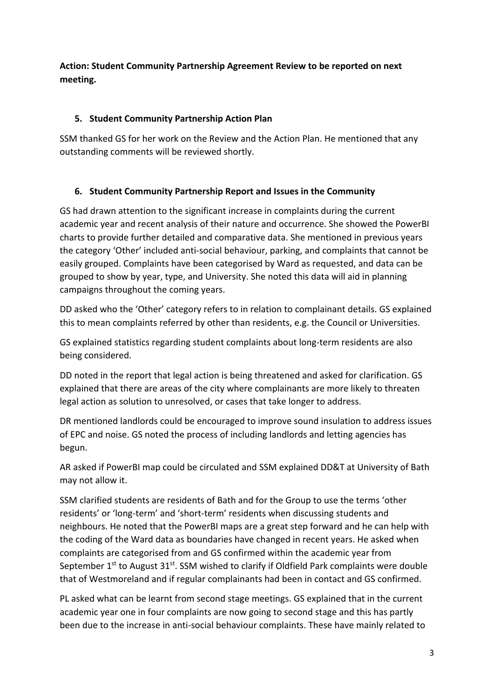**Action: Student Community Partnership Agreement Review to be reported on next meeting.**

#### **5. Student Community Partnership Action Plan**

SSM thanked GS for her work on the Review and the Action Plan. He mentioned that any outstanding comments will be reviewed shortly.

# **6. Student Community Partnership Report and Issues in the Community**

GS had drawn attention to the significant increase in complaints during the current academic year and recent analysis of their nature and occurrence. She showed the PowerBI charts to provide further detailed and comparative data. She mentioned in previous years the category 'Other' included anti-social behaviour, parking, and complaints that cannot be easily grouped. Complaints have been categorised by Ward as requested, and data can be grouped to show by year, type, and University. She noted this data will aid in planning campaigns throughout the coming years.

DD asked who the 'Other' category refers to in relation to complainant details. GS explained this to mean complaints referred by other than residents, e.g. the Council or Universities.

GS explained statistics regarding student complaints about long-term residents are also being considered.

DD noted in the report that legal action is being threatened and asked for clarification. GS explained that there are areas of the city where complainants are more likely to threaten legal action as solution to unresolved, or cases that take longer to address.

DR mentioned landlords could be encouraged to improve sound insulation to address issues of EPC and noise. GS noted the process of including landlords and letting agencies has begun.

AR asked if PowerBI map could be circulated and SSM explained DD&T at University of Bath may not allow it.

SSM clarified students are residents of Bath and for the Group to use the terms 'other residents' or 'long-term' and 'short-term' residents when discussing students and neighbours. He noted that the PowerBI maps are a great step forward and he can help with the coding of the Ward data as boundaries have changed in recent years. He asked when complaints are categorised from and GS confirmed within the academic year from September  $1<sup>st</sup>$  to August  $31<sup>st</sup>$ . SSM wished to clarify if Oldfield Park complaints were double that of Westmoreland and if regular complainants had been in contact and GS confirmed.

PL asked what can be learnt from second stage meetings. GS explained that in the current academic year one in four complaints are now going to second stage and this has partly been due to the increase in anti-social behaviour complaints. These have mainly related to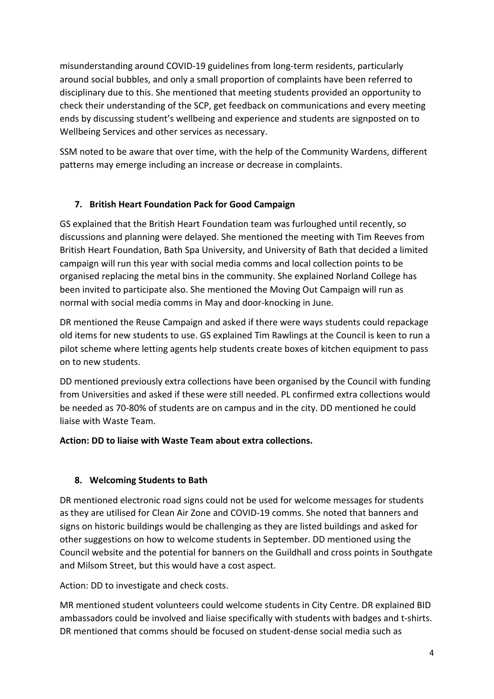misunderstanding around COVID-19 guidelines from long-term residents, particularly around social bubbles, and only a small proportion of complaints have been referred to disciplinary due to this. She mentioned that meeting students provided an opportunity to check their understanding of the SCP, get feedback on communications and every meeting ends by discussing student's wellbeing and experience and students are signposted on to Wellbeing Services and other services as necessary.

SSM noted to be aware that over time, with the help of the Community Wardens, different patterns may emerge including an increase or decrease in complaints.

# **7. British Heart Foundation Pack for Good Campaign**

GS explained that the British Heart Foundation team was furloughed until recently, so discussions and planning were delayed. She mentioned the meeting with Tim Reeves from British Heart Foundation, Bath Spa University, and University of Bath that decided a limited campaign will run this year with social media comms and local collection points to be organised replacing the metal bins in the community. She explained Norland College has been invited to participate also. She mentioned the Moving Out Campaign will run as normal with social media comms in May and door-knocking in June.

DR mentioned the Reuse Campaign and asked if there were ways students could repackage old items for new students to use. GS explained Tim Rawlings at the Council is keen to run a pilot scheme where letting agents help students create boxes of kitchen equipment to pass on to new students.

DD mentioned previously extra collections have been organised by the Council with funding from Universities and asked if these were still needed. PL confirmed extra collections would be needed as 70-80% of students are on campus and in the city. DD mentioned he could liaise with Waste Team.

# **Action: DD to liaise with Waste Team about extra collections.**

# **8. Welcoming Students to Bath**

DR mentioned electronic road signs could not be used for welcome messages for students as they are utilised for Clean Air Zone and COVID-19 comms. She noted that banners and signs on historic buildings would be challenging as they are listed buildings and asked for other suggestions on how to welcome students in September. DD mentioned using the Council website and the potential for banners on the Guildhall and cross points in Southgate and Milsom Street, but this would have a cost aspect.

Action: DD to investigate and check costs.

MR mentioned student volunteers could welcome students in City Centre. DR explained BID ambassadors could be involved and liaise specifically with students with badges and t-shirts. DR mentioned that comms should be focused on student-dense social media such as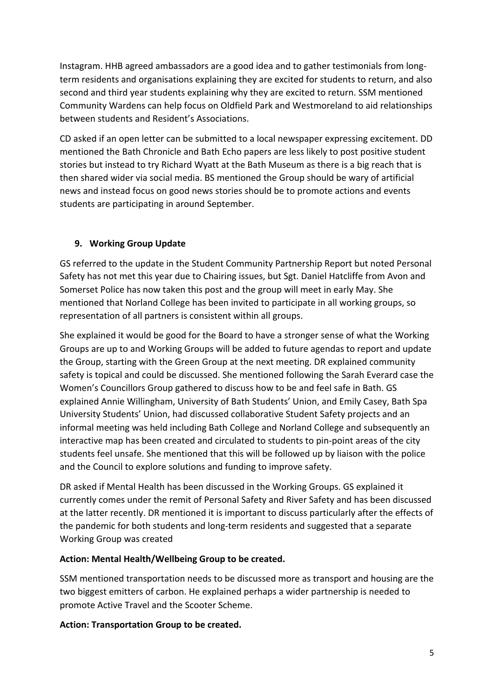Instagram. HHB agreed ambassadors are a good idea and to gather testimonials from longterm residents and organisations explaining they are excited for students to return, and also second and third year students explaining why they are excited to return. SSM mentioned Community Wardens can help focus on Oldfield Park and Westmoreland to aid relationships between students and Resident's Associations.

CD asked if an open letter can be submitted to a local newspaper expressing excitement. DD mentioned the Bath Chronicle and Bath Echo papers are less likely to post positive student stories but instead to try Richard Wyatt at the Bath Museum as there is a big reach that is then shared wider via social media. BS mentioned the Group should be wary of artificial news and instead focus on good news stories should be to promote actions and events students are participating in around September.

#### **9. Working Group Update**

GS referred to the update in the Student Community Partnership Report but noted Personal Safety has not met this year due to Chairing issues, but Sgt. Daniel Hatcliffe from Avon and Somerset Police has now taken this post and the group will meet in early May. She mentioned that Norland College has been invited to participate in all working groups, so representation of all partners is consistent within all groups.

She explained it would be good for the Board to have a stronger sense of what the Working Groups are up to and Working Groups will be added to future agendas to report and update the Group, starting with the Green Group at the next meeting. DR explained community safety is topical and could be discussed. She mentioned following the Sarah Everard case the Women's Councillors Group gathered to discuss how to be and feel safe in Bath. GS explained Annie Willingham, University of Bath Students' Union, and Emily Casey, Bath Spa University Students' Union, had discussed collaborative Student Safety projects and an informal meeting was held including Bath College and Norland College and subsequently an interactive map has been created and circulated to students to pin-point areas of the city students feel unsafe. She mentioned that this will be followed up by liaison with the police and the Council to explore solutions and funding to improve safety.

DR asked if Mental Health has been discussed in the Working Groups. GS explained it currently comes under the remit of Personal Safety and River Safety and has been discussed at the latter recently. DR mentioned it is important to discuss particularly after the effects of the pandemic for both students and long-term residents and suggested that a separate Working Group was created

#### **Action: Mental Health/Wellbeing Group to be created.**

SSM mentioned transportation needs to be discussed more as transport and housing are the two biggest emitters of carbon. He explained perhaps a wider partnership is needed to promote Active Travel and the Scooter Scheme.

#### **Action: Transportation Group to be created.**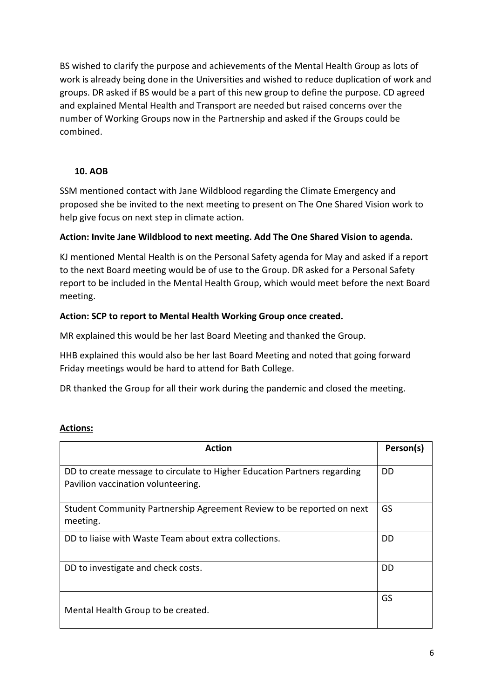BS wished to clarify the purpose and achievements of the Mental Health Group as lots of work is already being done in the Universities and wished to reduce duplication of work and groups. DR asked if BS would be a part of this new group to define the purpose. CD agreed and explained Mental Health and Transport are needed but raised concerns over the number of Working Groups now in the Partnership and asked if the Groups could be combined.

#### **10. AOB**

SSM mentioned contact with Jane Wildblood regarding the Climate Emergency and proposed she be invited to the next meeting to present on The One Shared Vision work to help give focus on next step in climate action.

#### **Action: Invite Jane Wildblood to next meeting. Add The One Shared Vision to agenda.**

KJ mentioned Mental Health is on the Personal Safety agenda for May and asked if a report to the next Board meeting would be of use to the Group. DR asked for a Personal Safety report to be included in the Mental Health Group, which would meet before the next Board meeting.

#### **Action: SCP to report to Mental Health Working Group once created.**

MR explained this would be her last Board Meeting and thanked the Group.

HHB explained this would also be her last Board Meeting and noted that going forward Friday meetings would be hard to attend for Bath College.

DR thanked the Group for all their work during the pandemic and closed the meeting.

#### **Actions:**

| <b>Action</b>                                                                                                  | Person(s) |
|----------------------------------------------------------------------------------------------------------------|-----------|
| DD to create message to circulate to Higher Education Partners regarding<br>Pavilion vaccination volunteering. | DD        |
| Student Community Partnership Agreement Review to be reported on next<br>meeting.                              | GS        |
| DD to liaise with Waste Team about extra collections.                                                          | DD        |
| DD to investigate and check costs.                                                                             | DD        |
| Mental Health Group to be created.                                                                             | GS        |